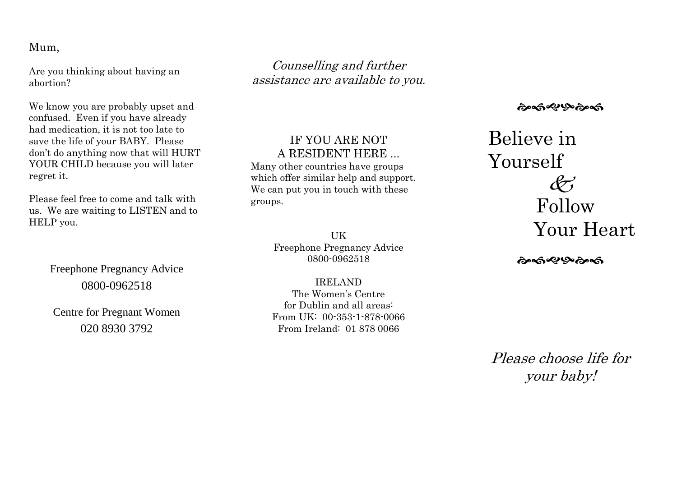#### Mum,

Are you thinking about having an abortion?

We know you are probably upset and confused. Even if you have already had medication, it is not too late to save the life of your BABY. Please don't do anything now that will HURT YOUR CHILD because you will later regret it.

Please feel free to come and talk with us. We are waiting to LISTEN and to HELP you.

> Freephone Pregnancy Advice 0800-0962518

Centre for Pregnant Women 020 8930 3792

Counselling and further assistance are available to you.

### IF YOU ARE NOT A RESIDENT HERE ...

Many other countries have groups which offer similar help and support. We can put you in touch with these groups.

> **IIK** Freephone Pregnancy Advice 0800-0962518

> IRELAND The Women's Centre for Dublin and all areas: From UK: 00-353-1-878-0066 From Ireland: 01 878 0066

৻ৡ৽ৼ৽৻ঌ৻ঽ৻ড়

# Believe in Yourself  $\mathscr{L}'$  Follow Your Heart

**෬෬෯ඁ෯**෯෧෯

Please choose life for your baby!